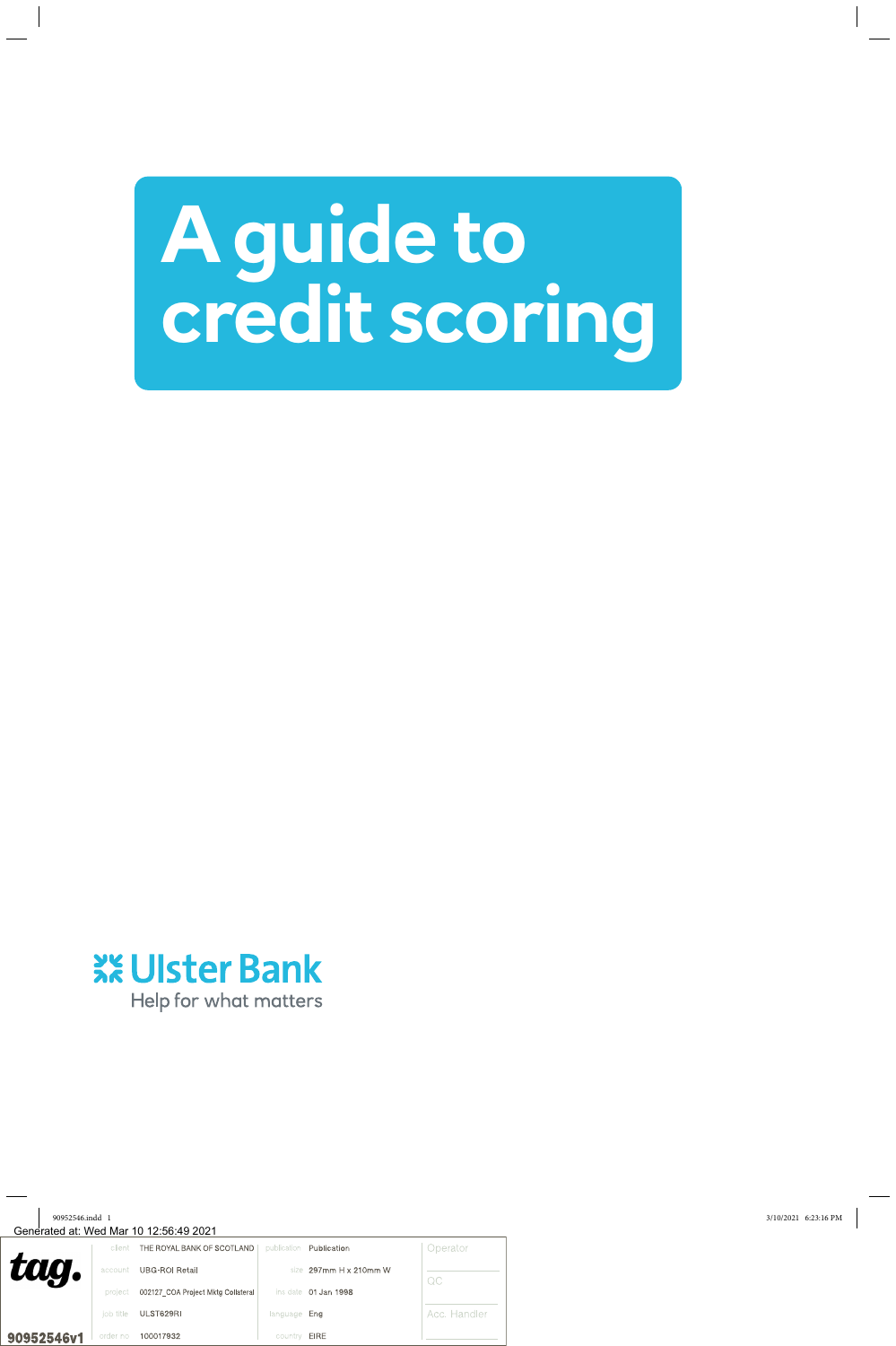# **A guide to credit scoring**

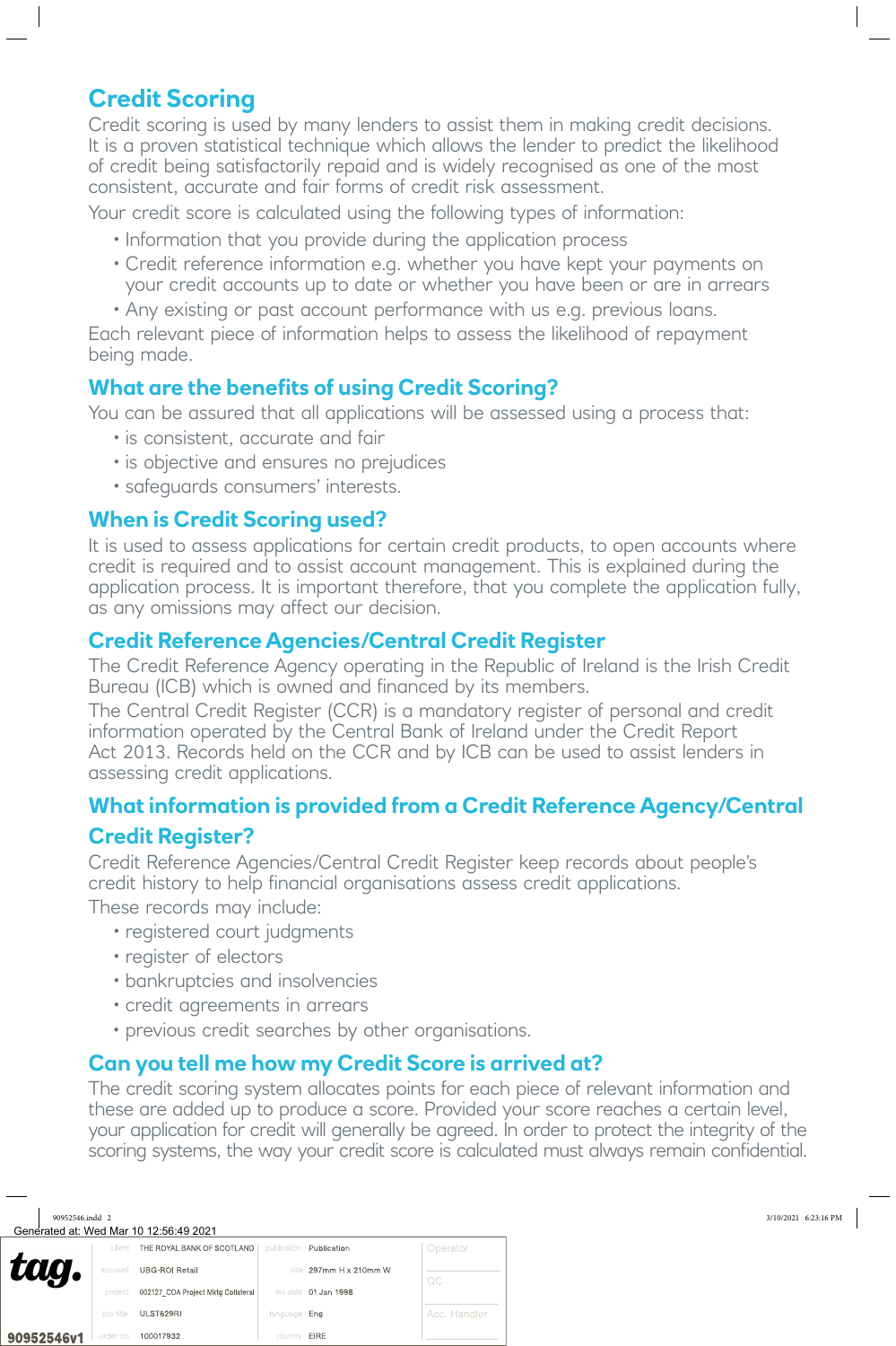# **Credit Scoring**

Credit scoring is used by many lenders to assist them in making credit decisions. It is a proven statistical technique which allows the lender to predict the likelihood of credit being satisfactorily repaid and is widely recognised as one of the most consistent, accurate and fair forms of credit risk assessment.

Your credit score is calculated using the following types of information:

- Information that you provide during the application process
- Credit reference information e.g. whether you have kept your payments on your credit accounts up to date or whether you have been or are in arrears
- Any existing or past account performance with us e.g. previous loans.

Each relevant piece of information helps to assess the likelihood of repayment being made.

# **What are the benefits of using Credit Scoring?**

You can be assured that all applications will be assessed using a process that:

- is consistent, accurate and fair
- is objective and ensures no prejudices
- safeguards consumers' interests.

# **When is Credit Scoring used?**

It is used to assess applications for certain credit products, to open accounts where credit is required and to assist account management. This is explained during the application process. It is important therefore, that you complete the application fully, as any omissions may affect our decision.

## **Credit Reference Agencies/Central Credit Register**

The Credit Reference Agency operating in the Republic of Ireland is the Irish Credit Bureau (ICB) which is owned and financed by its members.

The Central Credit Register (CCR) is a mandatory register of personal and credit information operated by the Central Bank of Ireland under the Credit Report Act 2013. Records held on the CCR and by ICB can be used to assist lenders in assessing credit applications.

# **What information is provided from a Credit Reference Agency/Central Credit Register?**

Credit Reference Agencies/Central Credit Register keep records about people's credit history to help financial organisations assess credit applications.

These records may include:

- registered court judgments
- register of electors
- bankruptcies and insolvencies
- credit agreements in arrears
- previous credit searches by other organisations.

# **Can you tell me how my Credit Score is arrived at?**

The credit scoring system allocates points for each piece of relevant information and these are added up to produce a score. Provided your score reaches a certain level, your application for credit will generally be agreed. In order to protect the integrity of the scoring systems, the way your credit score is calculated must always remain confidential.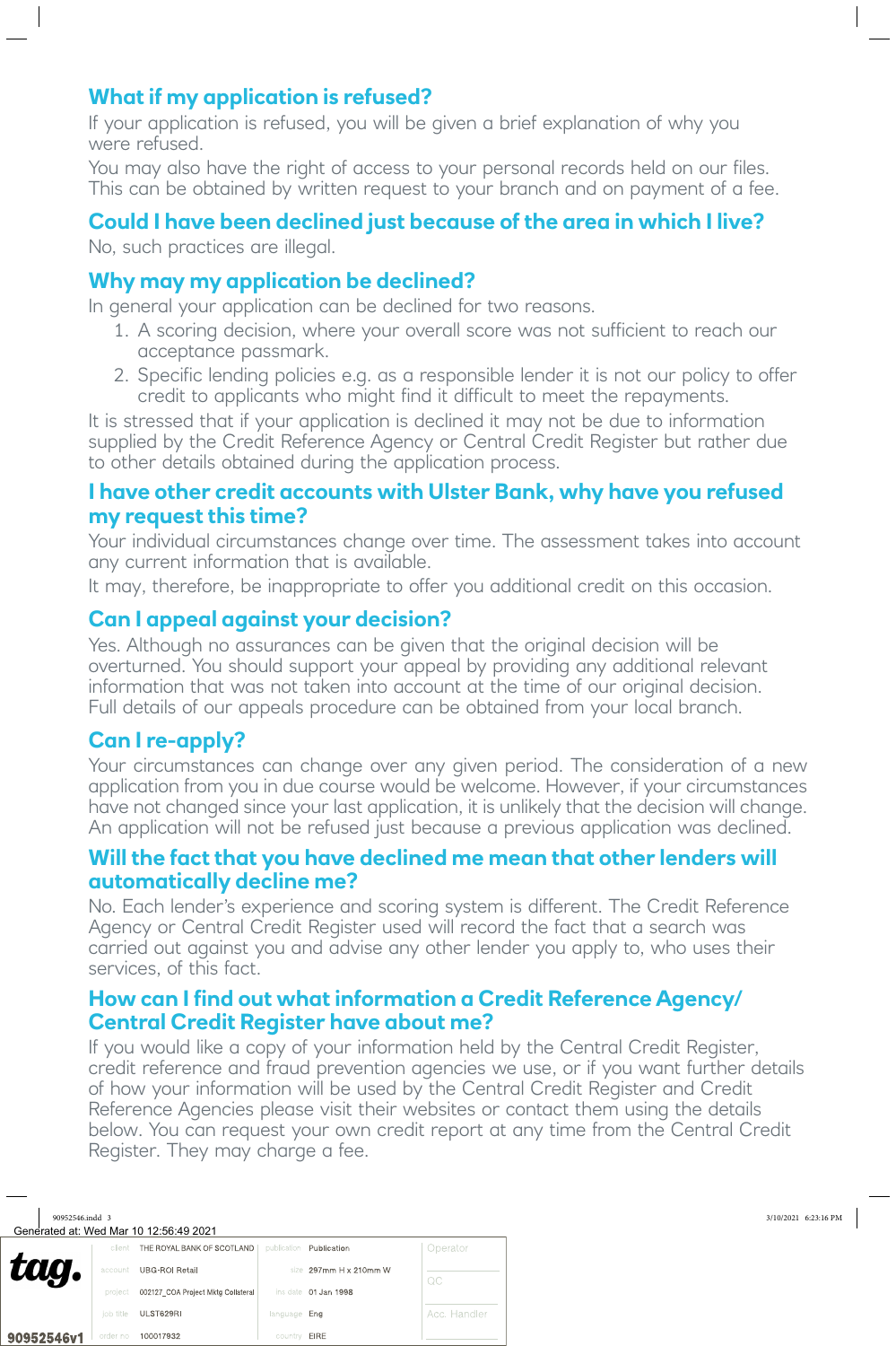# **What if my application is refused?**

If your application is refused, you will be given a brief explanation of why you were refused.

You may also have the right of access to your personal records held on our files. This can be obtained by written request to your branch and on payment of a fee.

## **Could I have been declined just because of the area in which I live?**

No, such practices are illegal.

### **Why may my application be declined?**

In general your application can be declined for two reasons.

- 1. A scoring decision, where your overall score was not sufficient to reach our acceptance passmark.
- 2. Specific lending policies e.g. as a responsible lender it is not our policy to offer credit to applicants who might find it difficult to meet the repayments.

It is stressed that if your application is declined it may not be due to information supplied by the Credit Reference Agency or Central Credit Register but rather due to other details obtained during the application process.

#### **I have other credit accounts with Ulster Bank, why have you refused my request this time?**

Your individual circumstances change over time. The assessment takes into account any current information that is available.

It may, therefore, be inappropriate to offer you additional credit on this occasion.

## **Can I appeal against your decision?**

Yes. Although no assurances can be given that the original decision will be overturned. You should support your appeal by providing any additional relevant information that was not taken into account at the time of our original decision. Full details of our appeals procedure can be obtained from your local branch.

## **Can I re-apply?**

Your circumstances can change over any given period. The consideration of a new application from you in due course would be welcome. However, if your circumstances have not changed since your last application, it is unlikely that the decision will change. An application will not be refused just because a previous application was declined.

#### **Will the fact that you have declined me mean that other lenders will automatically decline me?**

No. Each lender's experience and scoring system is different. The Credit Reference Agency or Central Credit Register used will record the fact that a search was carried out against you and advise any other lender you apply to, who uses their services, of this fact.

#### **How can I find out what information a Credit Reference Agency/ Central Credit Register have about me?**

If you would like a copy of your information held by the Central Credit Register, credit reference and fraud prevention agencies we use, or if you want further details of how your information will be used by the Central Credit Register and Credit Reference Agencies please visit their websites or contact them using the details below. You can request your own credit report at any time from the Central Credit Register. They may charge a fee.